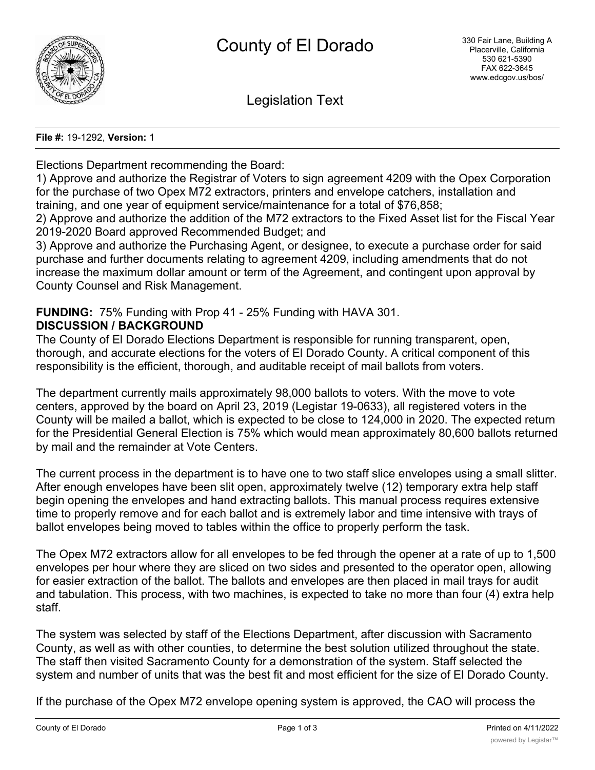

Legislation Text

### **File #:** 19-1292, **Version:** 1

Elections Department recommending the Board:

1) Approve and authorize the Registrar of Voters to sign agreement 4209 with the Opex Corporation for the purchase of two Opex M72 extractors, printers and envelope catchers, installation and training, and one year of equipment service/maintenance for a total of \$76,858;

2) Approve and authorize the addition of the M72 extractors to the Fixed Asset list for the Fiscal Year 2019-2020 Board approved Recommended Budget; and

3) Approve and authorize the Purchasing Agent, or designee, to execute a purchase order for said purchase and further documents relating to agreement 4209, including amendments that do not increase the maximum dollar amount or term of the Agreement, and contingent upon approval by County Counsel and Risk Management.

### **FUNDING:** 75% Funding with Prop 41 - 25% Funding with HAVA 301. **DISCUSSION / BACKGROUND**

The County of El Dorado Elections Department is responsible for running transparent, open, thorough, and accurate elections for the voters of El Dorado County. A critical component of this responsibility is the efficient, thorough, and auditable receipt of mail ballots from voters.

The department currently mails approximately 98,000 ballots to voters. With the move to vote centers, approved by the board on April 23, 2019 (Legistar 19-0633), all registered voters in the County will be mailed a ballot, which is expected to be close to 124,000 in 2020. The expected return for the Presidential General Election is 75% which would mean approximately 80,600 ballots returned by mail and the remainder at Vote Centers.

The current process in the department is to have one to two staff slice envelopes using a small slitter. After enough envelopes have been slit open, approximately twelve (12) temporary extra help staff begin opening the envelopes and hand extracting ballots. This manual process requires extensive time to properly remove and for each ballot and is extremely labor and time intensive with trays of ballot envelopes being moved to tables within the office to properly perform the task.

The Opex M72 extractors allow for all envelopes to be fed through the opener at a rate of up to 1,500 envelopes per hour where they are sliced on two sides and presented to the operator open, allowing for easier extraction of the ballot. The ballots and envelopes are then placed in mail trays for audit and tabulation. This process, with two machines, is expected to take no more than four (4) extra help staff.

The system was selected by staff of the Elections Department, after discussion with Sacramento County, as well as with other counties, to determine the best solution utilized throughout the state. The staff then visited Sacramento County for a demonstration of the system. Staff selected the system and number of units that was the best fit and most efficient for the size of El Dorado County.

If the purchase of the Opex M72 envelope opening system is approved, the CAO will process the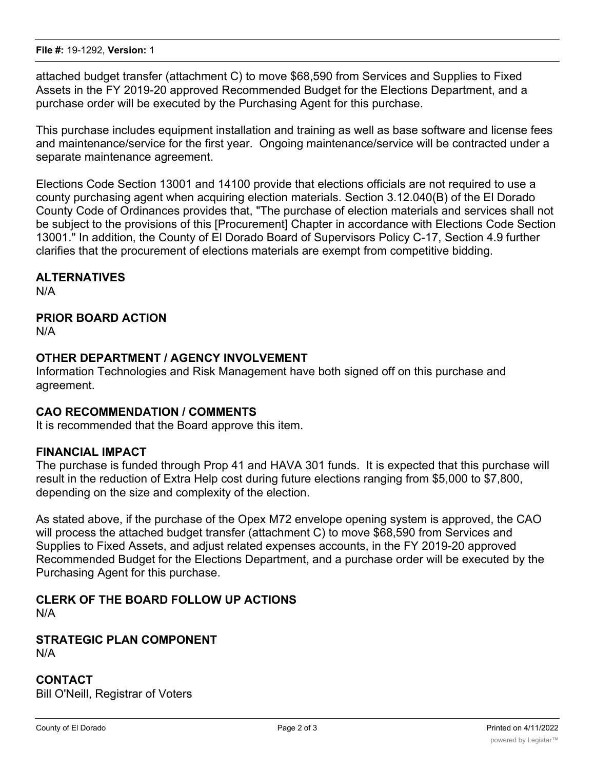attached budget transfer (attachment C) to move \$68,590 from Services and Supplies to Fixed Assets in the FY 2019-20 approved Recommended Budget for the Elections Department, and a purchase order will be executed by the Purchasing Agent for this purchase.

This purchase includes equipment installation and training as well as base software and license fees and maintenance/service for the first year. Ongoing maintenance/service will be contracted under a separate maintenance agreement.

Elections Code Section 13001 and 14100 provide that elections officials are not required to use a county purchasing agent when acquiring election materials. Section 3.12.040(B) of the El Dorado County Code of Ordinances provides that, "The purchase of election materials and services shall not be subject to the provisions of this [Procurement] Chapter in accordance with Elections Code Section 13001." In addition, the County of El Dorado Board of Supervisors Policy C-17, Section 4.9 further clarifies that the procurement of elections materials are exempt from competitive bidding.

# **ALTERNATIVES**

N/A

# **PRIOR BOARD ACTION**

N/A

# **OTHER DEPARTMENT / AGENCY INVOLVEMENT**

Information Technologies and Risk Management have both signed off on this purchase and agreement.

# **CAO RECOMMENDATION / COMMENTS**

It is recommended that the Board approve this item.

# **FINANCIAL IMPACT**

The purchase is funded through Prop 41 and HAVA 301 funds. It is expected that this purchase will result in the reduction of Extra Help cost during future elections ranging from \$5,000 to \$7,800, depending on the size and complexity of the election.

As stated above, if the purchase of the Opex M72 envelope opening system is approved, the CAO will process the attached budget transfer (attachment C) to move \$68,590 from Services and Supplies to Fixed Assets, and adjust related expenses accounts, in the FY 2019-20 approved Recommended Budget for the Elections Department, and a purchase order will be executed by the Purchasing Agent for this purchase.

#### **CLERK OF THE BOARD FOLLOW UP ACTIONS** N/A

**STRATEGIC PLAN COMPONENT**

N/A

**CONTACT** Bill O'Neill, Registrar of Voters